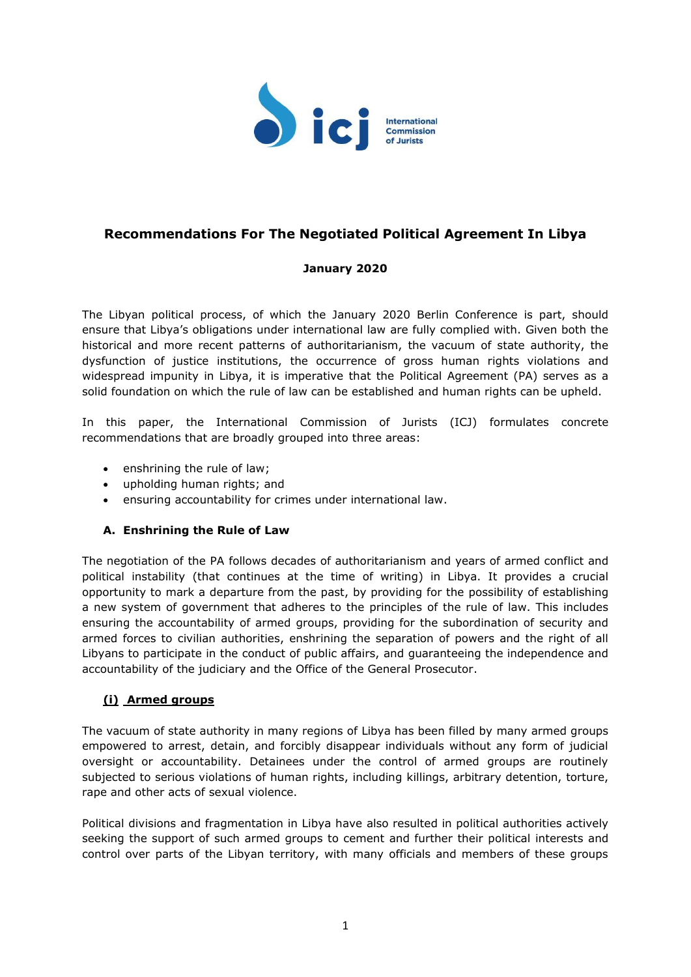

# **Recommendations For The Negotiated Political Agreement In Libya**

# **January 2020**

The Libyan political process, of which the January 2020 Berlin Conference is part, should ensure that Libya's obligations under international law are fully complied with. Given both the historical and more recent patterns of authoritarianism, the vacuum of state authority, the dysfunction of justice institutions, the occurrence of gross human rights violations and widespread impunity in Libya, it is imperative that the Political Agreement (PA) serves as a solid foundation on which the rule of law can be established and human rights can be upheld.

In this paper, the International Commission of Jurists (ICJ) formulates concrete recommendations that are broadly grouped into three areas:

- enshrining the rule of law;
- upholding human rights; and
- ensuring accountability for crimes under international law.

# **A. Enshrining the Rule of Law**

The negotiation of the PA follows decades of authoritarianism and years of armed conflict and political instability (that continues at the time of writing) in Libya. It provides a crucial opportunity to mark a departure from the past, by providing for the possibility of establishing a new system of government that adheres to the principles of the rule of law. This includes ensuring the accountability of armed groups, providing for the subordination of security and armed forces to civilian authorities, enshrining the separation of powers and the right of all Libyans to participate in the conduct of public affairs, and guaranteeing the independence and accountability of the judiciary and the Office of the General Prosecutor.

# **(i) Armed groups**

The vacuum of state authority in many regions of Libya has been filled by many armed groups empowered to arrest, detain, and forcibly disappear individuals without any form of judicial oversight or accountability. Detainees under the control of armed groups are routinely subjected to serious violations of human rights, including killings, arbitrary detention, torture, rape and other acts of sexual violence.

Political divisions and fragmentation in Libya have also resulted in political authorities actively seeking the support of such armed groups to cement and further their political interests and control over parts of the Libyan territory, with many officials and members of these groups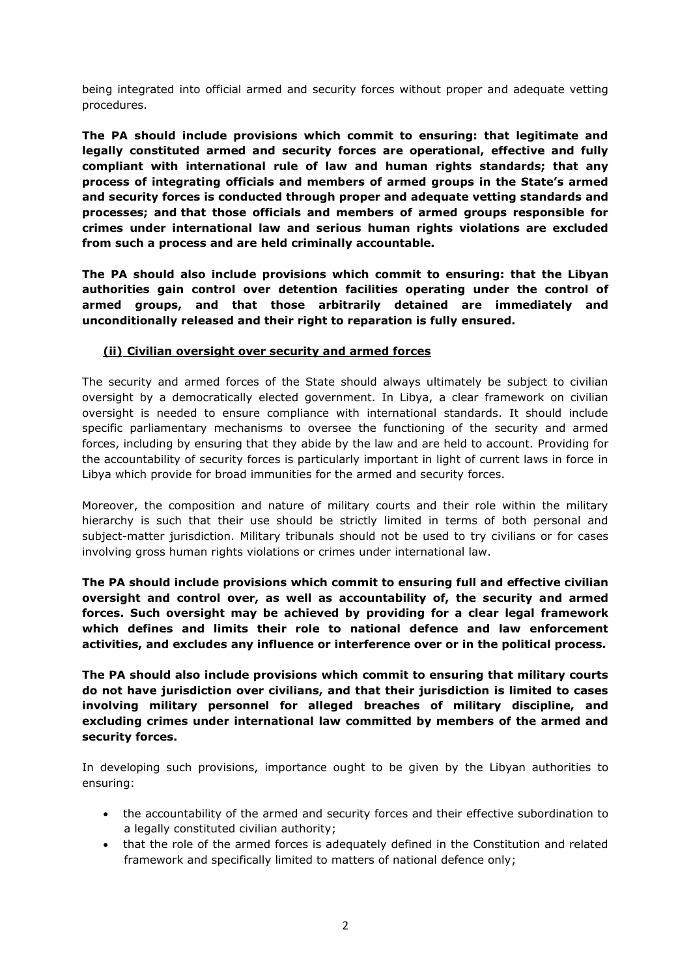being integrated into official armed and security forces without proper and adequate vetting procedures.

**The PA should include provisions which commit to ensuring: that legitimate and legally constituted armed and security forces are operational, effective and fully compliant with international rule of law and human rights standards; that any process of integrating officials and members of armed groups in the State's armed and security forces is conducted through proper and adequate vetting standards and processes; and that those officials and members of armed groups responsible for crimes under international law and serious human rights violations are excluded from such a process and are held criminally accountable.**

**The PA should also include provisions which commit to ensuring: that the Libyan authorities gain control over detention facilities operating under the control of armed groups, and that those arbitrarily detained are immediately and unconditionally released and their right to reparation is fully ensured.** 

#### **(ii) Civilian oversight over security and armed forces**

The security and armed forces of the State should always ultimately be subject to civilian oversight by a democratically elected government. In Libya, a clear framework on civilian oversight is needed to ensure compliance with international standards. It should include specific parliamentary mechanisms to oversee the functioning of the security and armed forces, including by ensuring that they abide by the law and are held to account. Providing for the accountability of security forces is particularly important in light of current laws in force in Libya which provide for broad immunities for the armed and security forces.

Moreover, the composition and nature of military courts and their role within the military hierarchy is such that their use should be strictly limited in terms of both personal and subject-matter jurisdiction. Military tribunals should not be used to try civilians or for cases involving gross human rights violations or crimes under international law.

**The PA should include provisions which commit to ensuring full and effective civilian oversight and control over, as well as accountability of, the security and armed forces. Such oversight may be achieved by providing for a clear legal framework which defines and limits their role to national defence and law enforcement activities, and excludes any influence or interference over or in the political process.**

**The PA should also include provisions which commit to ensuring that military courts do not have jurisdiction over civilians, and that their jurisdiction is limited to cases involving military personnel for alleged breaches of military discipline, and excluding crimes under international law committed by members of the armed and security forces.**

In developing such provisions, importance ought to be given by the Libyan authorities to ensuring:

- the accountability of the armed and security forces and their effective subordination to a legally constituted civilian authority;
- that the role of the armed forces is adequately defined in the Constitution and related framework and specifically limited to matters of national defence only;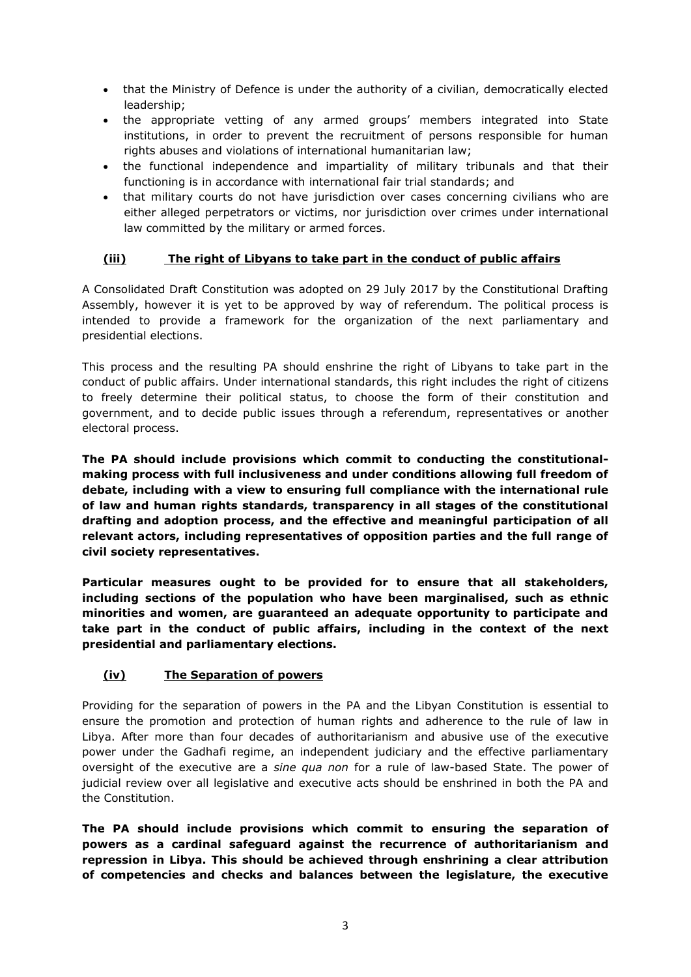- that the Ministry of Defence is under the authority of a civilian, democratically elected leadership;
- the appropriate vetting of any armed groups' members integrated into State institutions, in order to prevent the recruitment of persons responsible for human rights abuses and violations of international humanitarian law;
- the functional independence and impartiality of military tribunals and that their functioning is in accordance with international fair trial standards; and
- that military courts do not have jurisdiction over cases concerning civilians who are either alleged perpetrators or victims, nor jurisdiction over crimes under international law committed by the military or armed forces.

# **(iii) The right of Libyans to take part in the conduct of public affairs**

A Consolidated Draft Constitution was adopted on 29 July 2017 by the Constitutional Drafting Assembly, however it is yet to be approved by way of referendum. The political process is intended to provide a framework for the organization of the next parliamentary and presidential elections.

This process and the resulting PA should enshrine the right of Libyans to take part in the conduct of public affairs. Under international standards, this right includes the right of citizens to freely determine their political status, to choose the form of their constitution and government, and to decide public issues through a referendum, representatives or another electoral process.

**The PA should include provisions which commit to conducting the constitutionalmaking process with full inclusiveness and under conditions allowing full freedom of debate, including with a view to ensuring full compliance with the international rule of law and human rights standards, transparency in all stages of the constitutional drafting and adoption process, and the effective and meaningful participation of all relevant actors, including representatives of opposition parties and the full range of civil society representatives.** 

**Particular measures ought to be provided for to ensure that all stakeholders, including sections of the population who have been marginalised, such as ethnic minorities and women, are guaranteed an adequate opportunity to participate and take part in the conduct of public affairs, including in the context of the next presidential and parliamentary elections.**

# **(iv) The Separation of powers**

Providing for the separation of powers in the PA and the Libyan Constitution is essential to ensure the promotion and protection of human rights and adherence to the rule of law in Libya. After more than four decades of authoritarianism and abusive use of the executive power under the Gadhafi regime, an independent judiciary and the effective parliamentary oversight of the executive are a *sine qua non* for a rule of law-based State. The power of judicial review over all legislative and executive acts should be enshrined in both the PA and the Constitution.

**The PA should include provisions which commit to ensuring the separation of powers as a cardinal safeguard against the recurrence of authoritarianism and repression in Libya. This should be achieved through enshrining a clear attribution of competencies and checks and balances between the legislature, the executive**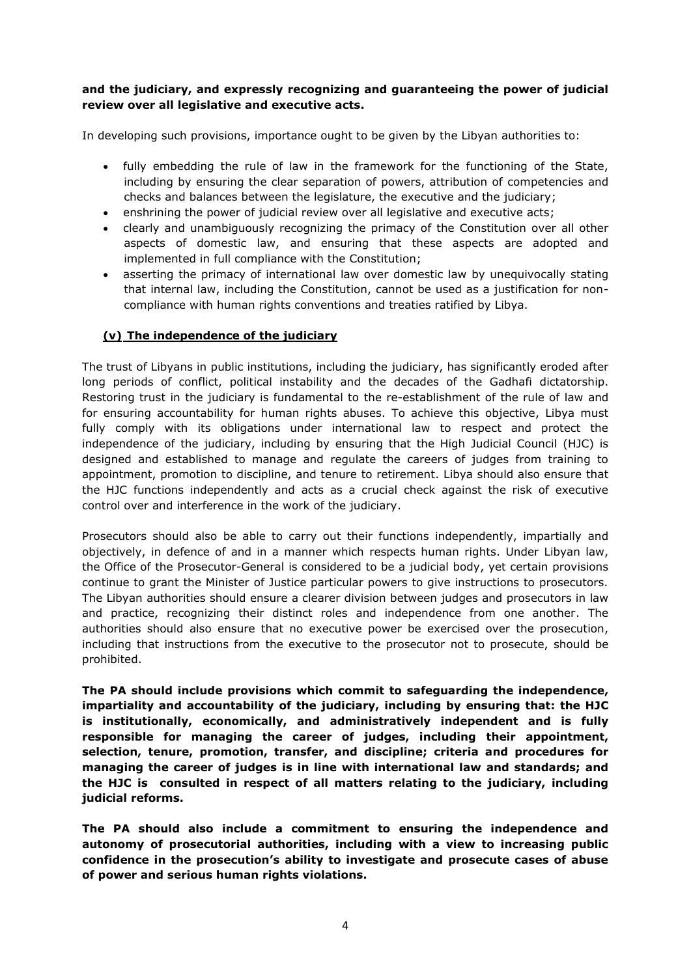# **and the judiciary, and expressly recognizing and guaranteeing the power of judicial review over all legislative and executive acts.**

In developing such provisions, importance ought to be given by the Libyan authorities to:

- fully embedding the rule of law in the framework for the functioning of the State, including by ensuring the clear separation of powers, attribution of competencies and checks and balances between the legislature, the executive and the judiciary;
- enshrining the power of judicial review over all legislative and executive acts;
- clearly and unambiguously recognizing the primacy of the Constitution over all other aspects of domestic law, and ensuring that these aspects are adopted and implemented in full compliance with the Constitution;
- asserting the primacy of international law over domestic law by unequivocally stating that internal law, including the Constitution, cannot be used as a justification for noncompliance with human rights conventions and treaties ratified by Libya.

#### **(v) The independence of the judiciary**

The trust of Libyans in public institutions, including the judiciary, has significantly eroded after long periods of conflict, political instability and the decades of the Gadhafi dictatorship. Restoring trust in the judiciary is fundamental to the re-establishment of the rule of law and for ensuring accountability for human rights abuses. To achieve this objective, Libya must fully comply with its obligations under international law to respect and protect the independence of the judiciary, including by ensuring that the High Judicial Council (HJC) is designed and established to manage and regulate the careers of judges from training to appointment, promotion to discipline, and tenure to retirement. Libya should also ensure that the HJC functions independently and acts as a crucial check against the risk of executive control over and interference in the work of the judiciary.

Prosecutors should also be able to carry out their functions independently, impartially and objectively, in defence of and in a manner which respects human rights. Under Libyan law, the Office of the Prosecutor-General is considered to be a judicial body, yet certain provisions continue to grant the Minister of Justice particular powers to give instructions to prosecutors. The Libyan authorities should ensure a clearer division between judges and prosecutors in law and practice, recognizing their distinct roles and independence from one another. The authorities should also ensure that no executive power be exercised over the prosecution, including that instructions from the executive to the prosecutor not to prosecute, should be prohibited.

**The PA should include provisions which commit to safeguarding the independence, impartiality and accountability of the judiciary, including by ensuring that: the HJC is institutionally, economically, and administratively independent and is fully responsible for managing the career of judges, including their appointment, selection, tenure, promotion, transfer, and discipline; criteria and procedures for managing the career of judges is in line with international law and standards; and the HJC is consulted in respect of all matters relating to the judiciary, including judicial reforms.**

**The PA should also include a commitment to ensuring the independence and autonomy of prosecutorial authorities, including with a view to increasing public confidence in the prosecution's ability to investigate and prosecute cases of abuse of power and serious human rights violations.**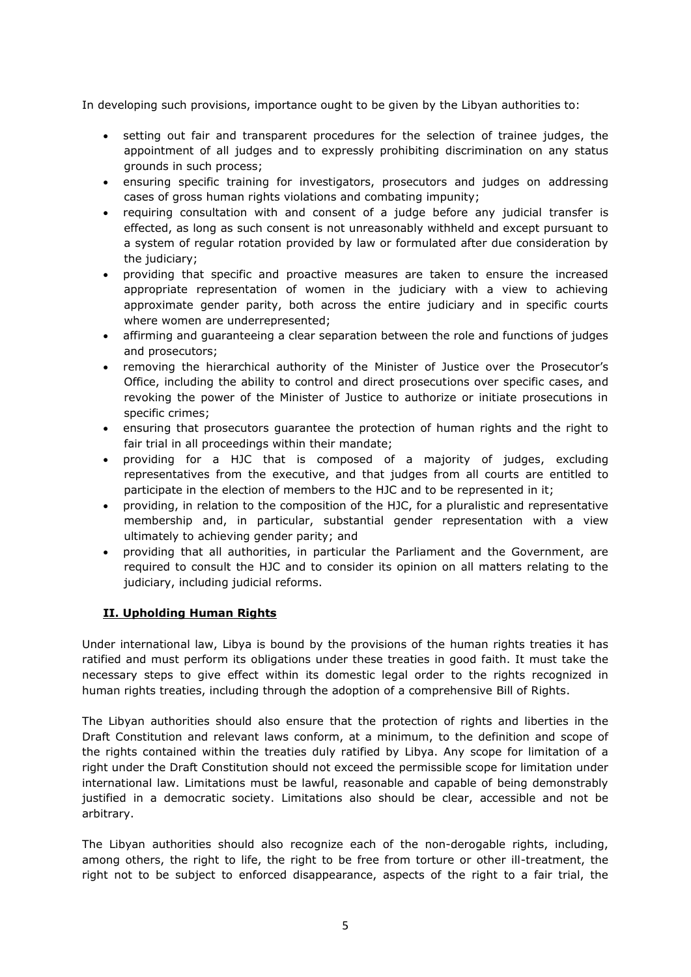In developing such provisions, importance ought to be given by the Libyan authorities to:

- setting out fair and transparent procedures for the selection of trainee judges, the appointment of all judges and to expressly prohibiting discrimination on any status grounds in such process;
- ensuring specific training for investigators, prosecutors and judges on addressing cases of gross human rights violations and combating impunity;
- requiring consultation with and consent of a judge before any judicial transfer is effected, as long as such consent is not unreasonably withheld and except pursuant to a system of regular rotation provided by law or formulated after due consideration by the judiciary;
- providing that specific and proactive measures are taken to ensure the increased appropriate representation of women in the judiciary with a view to achieving approximate gender parity, both across the entire judiciary and in specific courts where women are underrepresented;
- affirming and guaranteeing a clear separation between the role and functions of judges and prosecutors;
- removing the hierarchical authority of the Minister of Justice over the Prosecutor's Office, including the ability to control and direct prosecutions over specific cases, and revoking the power of the Minister of Justice to authorize or initiate prosecutions in specific crimes;
- ensuring that prosecutors guarantee the protection of human rights and the right to fair trial in all proceedings within their mandate;
- providing for a HJC that is composed of a majority of judges, excluding representatives from the executive, and that judges from all courts are entitled to participate in the election of members to the HJC and to be represented in it;
- providing, in relation to the composition of the HJC, for a pluralistic and representative membership and, in particular, substantial gender representation with a view ultimately to achieving gender parity; and
- providing that all authorities, in particular the Parliament and the Government, are required to consult the HJC and to consider its opinion on all matters relating to the judiciary, including judicial reforms.

# **II. Upholding Human Rights**

Under international law, Libya is bound by the provisions of the human rights treaties it has ratified and must perform its obligations under these treaties in good faith. It must take the necessary steps to give effect within its domestic legal order to the rights recognized in human rights treaties, including through the adoption of a comprehensive Bill of Rights.

The Libyan authorities should also ensure that the protection of rights and liberties in the Draft Constitution and relevant laws conform, at a minimum, to the definition and scope of the rights contained within the treaties duly ratified by Libya. Any scope for limitation of a right under the Draft Constitution should not exceed the permissible scope for limitation under international law. Limitations must be lawful, reasonable and capable of being demonstrably justified in a democratic society. Limitations also should be clear, accessible and not be arbitrary.

The Libyan authorities should also recognize each of the non-derogable rights, including, among others, the right to life, the right to be free from torture or other ill-treatment, the right not to be subject to enforced disappearance, aspects of the right to a fair trial, the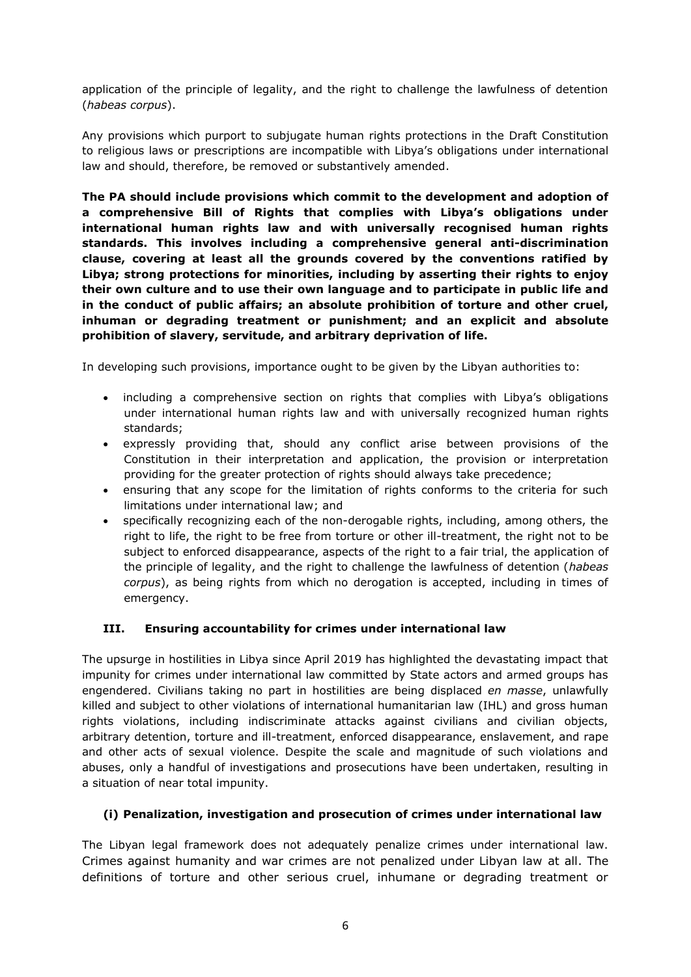application of the principle of legality, and the right to challenge the lawfulness of detention (*habeas corpus*).

Any provisions which purport to subjugate human rights protections in the Draft Constitution to religious laws or prescriptions are incompatible with Libya's obligations under international law and should, therefore, be removed or substantively amended.

**The PA should include provisions which commit to the development and adoption of a comprehensive Bill of Rights that complies with Libya's obligations under international human rights law and with universally recognised human rights standards. This involves including a comprehensive general anti-discrimination clause, covering at least all the grounds covered by the conventions ratified by Libya; strong protections for minorities, including by asserting their rights to enjoy their own culture and to use their own language and to participate in public life and in the conduct of public affairs; an absolute prohibition of torture and other cruel, inhuman or degrading treatment or punishment; and an explicit and absolute prohibition of slavery, servitude, and arbitrary deprivation of life.**

In developing such provisions, importance ought to be given by the Libyan authorities to:

- including a comprehensive section on rights that complies with Libya's obligations under international human rights law and with universally recognized human rights standards;
- expressly providing that, should any conflict arise between provisions of the Constitution in their interpretation and application, the provision or interpretation providing for the greater protection of rights should always take precedence;
- ensuring that any scope for the limitation of rights conforms to the criteria for such limitations under international law; and
- specifically recognizing each of the non-derogable rights, including, among others, the right to life, the right to be free from torture or other ill-treatment, the right not to be subject to enforced disappearance, aspects of the right to a fair trial, the application of the principle of legality, and the right to challenge the lawfulness of detention (*habeas corpus*), as being rights from which no derogation is accepted, including in times of emergency.

# **III. Ensuring accountability for crimes under international law**

The upsurge in hostilities in Libya since April 2019 has highlighted the devastating impact that impunity for crimes under international law committed by State actors and armed groups has engendered. Civilians taking no part in hostilities are being displaced *en masse*, unlawfully killed and subject to other violations of international humanitarian law (IHL) and gross human rights violations, including indiscriminate attacks against civilians and civilian objects, arbitrary detention, torture and ill-treatment, enforced disappearance, enslavement, and rape and other acts of sexual violence. Despite the scale and magnitude of such violations and abuses, only a handful of investigations and prosecutions have been undertaken, resulting in a situation of near total impunity.

# **(i) Penalization, investigation and prosecution of crimes under international law**

The Libyan legal framework does not adequately penalize crimes under international law. Crimes against humanity and war crimes are not penalized under Libyan law at all. The definitions of torture and other serious cruel, inhumane or degrading treatment or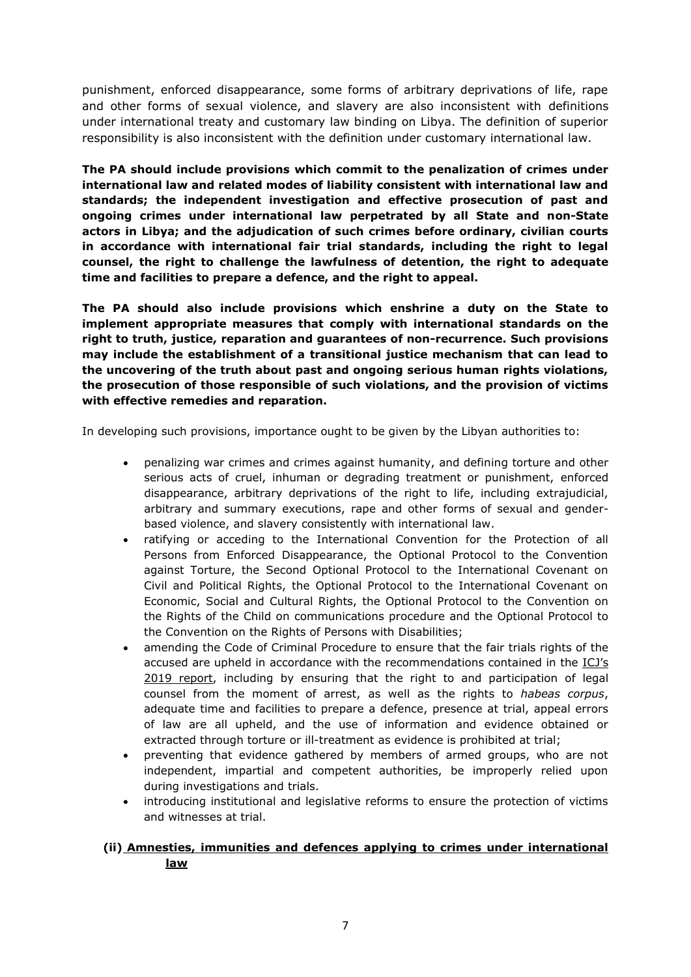punishment, enforced disappearance, some forms of arbitrary deprivations of life, rape and other forms of sexual violence, and slavery are also inconsistent with definitions under international treaty and customary law binding on Libya. The definition of superior responsibility is also inconsistent with the definition under customary international law.

**The PA should include provisions which commit to the penalization of crimes under international law and related modes of liability consistent with international law and standards; the independent investigation and effective prosecution of past and ongoing crimes under international law perpetrated by all State and non-State actors in Libya; and the adjudication of such crimes before ordinary, civilian courts in accordance with international fair trial standards, including the right to legal counsel, the right to challenge the lawfulness of detention, the right to adequate time and facilities to prepare a defence, and the right to appeal.** 

**The PA should also include provisions which enshrine a duty on the State to implement appropriate measures that comply with international standards on the right to truth, justice, reparation and guarantees of non-recurrence. Such provisions may include the establishment of a transitional justice mechanism that can lead to the uncovering of the truth about past and ongoing serious human rights violations, the prosecution of those responsible of such violations, and the provision of victims with effective remedies and reparation.** 

In developing such provisions, importance ought to be given by the Libyan authorities to:

- penalizing war crimes and crimes against humanity, and defining torture and other serious acts of cruel, inhuman or degrading treatment or punishment, enforced disappearance, arbitrary deprivations of the right to life, including extrajudicial, arbitrary and summary executions, rape and other forms of sexual and genderbased violence, and slavery consistently with international law.
- ratifying or acceding to the International Convention for the Protection of all Persons from Enforced Disappearance, the Optional Protocol to the Convention against Torture, the Second Optional Protocol to the International Covenant on Civil and Political Rights, the Optional Protocol to the International Covenant on Economic, Social and Cultural Rights, the Optional Protocol to the Convention on the Rights of the Child on communications procedure and the Optional Protocol to the Convention on the Rights of Persons with Disabilities;
- amending the Code of Criminal Procedure to ensure that the fair trials rights of the accused are upheld in accordance with the recommendations contained in the [ICJ's](https://www.icj.org/libya-addressing-accountability-for-serious-crimes-and-reform-of-the-criminal-justice-system-are-key-to-peace-stability-and-justice-icj-new-report/)  [2019 report,](https://www.icj.org/libya-addressing-accountability-for-serious-crimes-and-reform-of-the-criminal-justice-system-are-key-to-peace-stability-and-justice-icj-new-report/) including by ensuring that the right to and participation of legal counsel from the moment of arrest, as well as the rights to *habeas corpus*, adequate time and facilities to prepare a defence, presence at trial, appeal errors of law are all upheld, and the use of information and evidence obtained or extracted through torture or ill-treatment as evidence is prohibited at trial;
- preventing that evidence gathered by members of armed groups, who are not independent, impartial and competent authorities, be improperly relied upon during investigations and trials.
- introducing institutional and legislative reforms to ensure the protection of victims and witnesses at trial.

# **(ii) Amnesties, immunities and defences applying to crimes under international law**